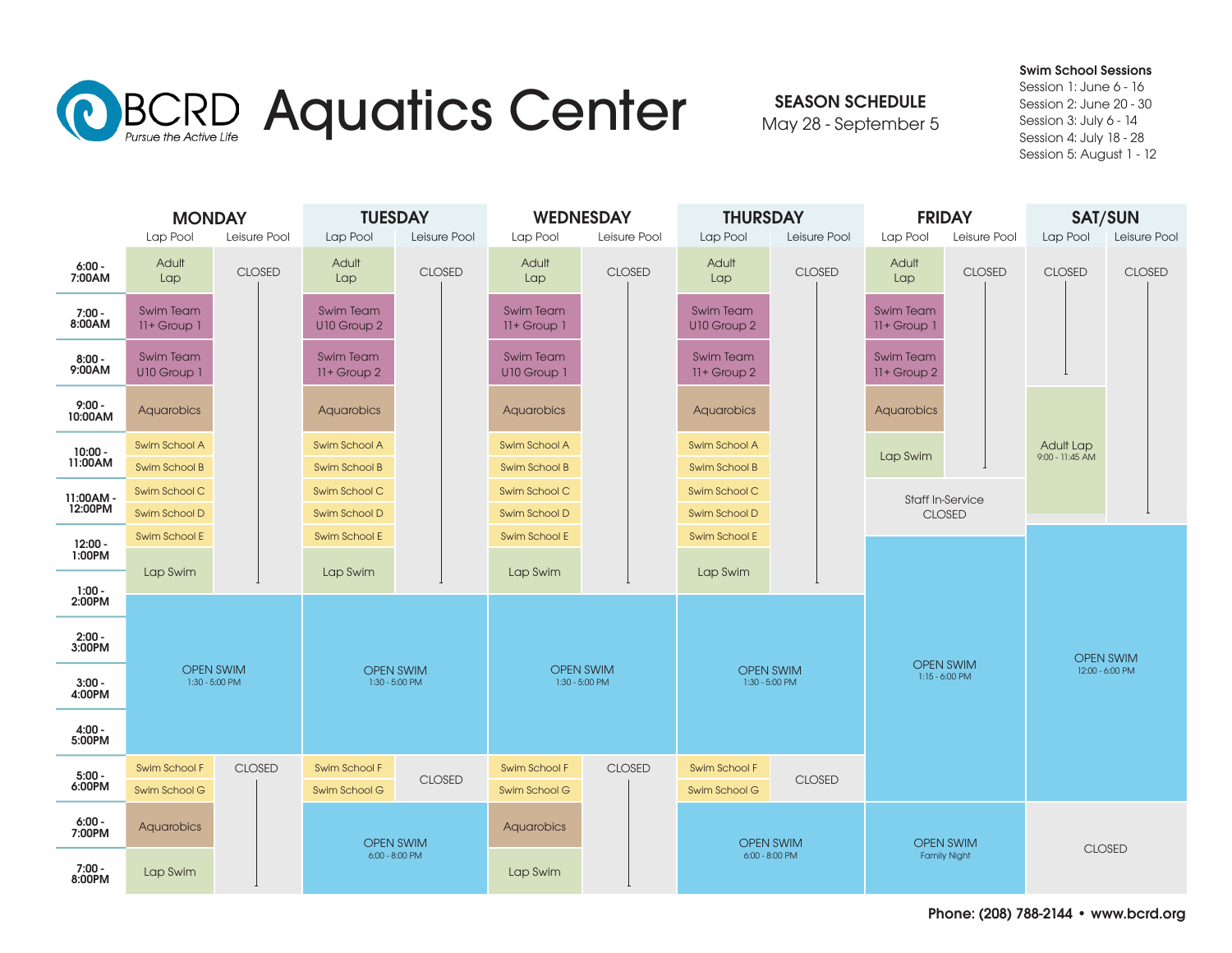

SEASON SCHEDULE

May 28 - September 5

Swim School Sessions Session 1: June 6 - 16 Session 2: June 20 - 30

Session 3: July 6 - 14 Session 4: July 18 - 28 Session 5: August 1 - 12

|                     | <b>MONDAY</b><br>Lap Pool<br>Leisure Pool |               | <b>TUESDAY</b><br>Lap Pool<br>Leisure Pool |               | <b>WEDNESDAY</b><br>Lap Pool<br>Leisure Pool |               | <b>THURSDAY</b><br>Lap Pool<br>Leisure Pool |                  | <b>FRIDAY</b><br>Lap Pool<br>Leisure Pool |                         | <b>SAT/SUN</b><br>Leisure Pool<br>Lap Pool |               |  |
|---------------------|-------------------------------------------|---------------|--------------------------------------------|---------------|----------------------------------------------|---------------|---------------------------------------------|------------------|-------------------------------------------|-------------------------|--------------------------------------------|---------------|--|
| $6:00 -$<br>7:00AM  | Adult<br>Lap                              | <b>CLOSED</b> | Adult<br>Lap                               | <b>CLOSED</b> | Adult<br>Lap                                 | <b>CLOSED</b> | Adult<br>Lap                                | <b>CLOSED</b>    | Adult<br>Lap                              | <b>CLOSED</b>           | <b>CLOSED</b>                              | <b>CLOSED</b> |  |
|                     |                                           |               |                                            |               |                                              |               |                                             |                  |                                           |                         |                                            |               |  |
| - 7:00<br>8:00AM    | <b>Swim Team</b><br>$11 +$ Group $1$      |               | <b>Swim Team</b><br>U10 Group 2            |               | <b>Swim Team</b><br>$11+$ Group $1$          |               | <b>Swim Team</b><br>U10 Group 2             |                  | <b>Swim Team</b><br>11+ Group 1           |                         |                                            |               |  |
| $8:00 -$<br>9:00AM  | <b>Swim Team</b><br>U10 Group 1           |               | <b>Swim Team</b><br>$11 +$ Group 2         |               | <b>Swim Team</b><br>U10 Group 1              |               | <b>Swim Team</b><br>11+ Group 2             |                  | <b>Swim Team</b><br>11+ Group 2           |                         |                                            |               |  |
| $9:00 -$<br>10:00AM | Aquarobics                                |               | Aquarobics                                 |               | <b>Aquarobics</b>                            |               | Aquarobics                                  |                  | Aquarobics                                |                         |                                            |               |  |
| 10:00 -<br>11:00 AM | Swim School A                             |               | Swim School A                              |               | Swim School A                                |               | Swim School A                               |                  | Lap Swim                                  |                         | Adult Lap<br>9:00 - 11:45 AM               |               |  |
|                     | Swim School B                             |               | <b>Swim School B</b>                       |               | <b>Swim School B</b>                         |               | <b>Swim School B</b>                        |                  |                                           |                         |                                            |               |  |
| 11:00AM-            | Swim School C                             |               | Swim School C                              |               | Swim School C                                |               | Swim School C                               |                  |                                           | <b>Staff In-Service</b> |                                            |               |  |
| 12:00PM             | Swim School D                             |               | Swim School D                              |               | Swim School D                                |               | Swim School D                               |                  |                                           | <b>CLOSED</b>           |                                            |               |  |
| $12:00 -$<br>1:00PM | Swim School E                             |               | Swim School E                              |               | Swim School E                                |               | Swim School E                               |                  |                                           |                         |                                            |               |  |
|                     | Lap Swim                                  |               | Lap Swim                                   |               | Lap Swim                                     |               | Lap Swim                                    |                  |                                           |                         |                                            |               |  |
| 1:00 -<br>2:00PM    |                                           |               |                                            |               |                                              |               |                                             |                  |                                           |                         |                                            |               |  |
| $2:00 -$<br>3:00PM  | <b>OPEN SWIM</b><br>$1:30 - 5:00$ PM      |               | <b>OPEN SWIM</b><br>1:30 - 5:00 PM         |               | <b>OPEN SWIM</b><br>1:30 - 5:00 PM           |               | <b>OPEN SWIM</b><br>$1:30 - 5:00$ PM        |                  | <b>OPEN SWIM</b><br>$1:15 - 6:00$ PM      |                         | <b>OPEN SWIM</b><br>12:00 - 6:00 PM        |               |  |
| $3:00 -$<br>4:00PM  |                                           |               |                                            |               |                                              |               |                                             |                  |                                           |                         |                                            |               |  |
| 4:00 -<br>5:00PM    |                                           |               |                                            |               |                                              |               |                                             |                  |                                           |                         |                                            |               |  |
| $5:00 -$            | Swim School F                             | <b>CLOSED</b> | Swim School F                              |               | Swim School F                                | <b>CLOSED</b> | Swim School F                               |                  |                                           |                         |                                            |               |  |
| 6:00PM              | Swim School G                             |               | Swim School G                              | <b>CLOSED</b> | Swim School G                                |               | Swim School G                               | <b>CLOSED</b>    |                                           |                         |                                            |               |  |
| $6:00 -$<br>7:00PM  | Aquarobics                                |               | <b>OPEN SWIM</b>                           |               | Aquarobics                                   |               |                                             | <b>OPEN SWIM</b> |                                           | <b>OPEN SWIM</b>        |                                            |               |  |
| $7:00 -$<br>8:00PM  | Lap Swim                                  |               | $6:00 - 8:00$ PM                           |               | Lap Swim                                     |               | 6:00 - 8:00 PM                              |                  | <b>Family Night</b>                       |                         | <b>CLOSED</b>                              |               |  |